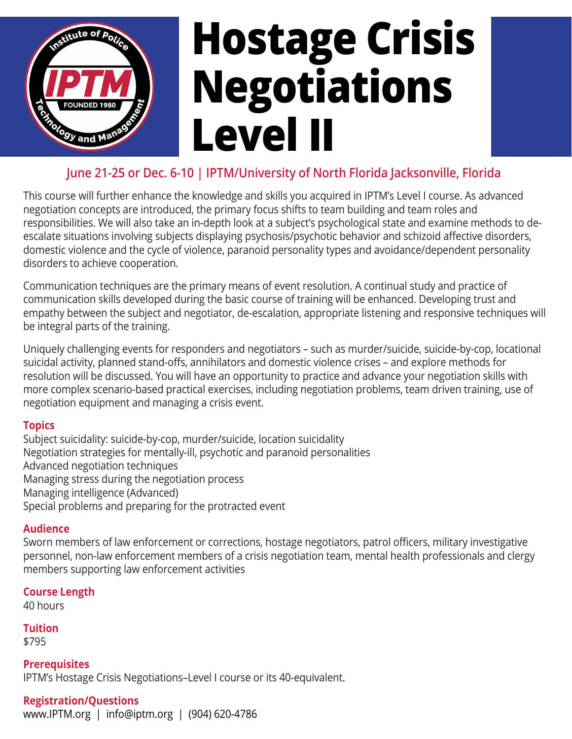

# 2 **Hostage Crisis Negotiations Level II**

### **June 21-25 or Dec. 6-10 | IPTM/University of North Florida Jacksonville, Florida**

This course will further enhance the knowledge and skills you acquired in IPTM's Level I course. As advanced negotiation concepts are introduced, the primary focus shifts to team building and team roles and responsibilities. We will also take an in-depth look at a subject's psychological state and examine methods to deescalate situations involving subjects displaying psychosis/psychotic behavior and schizoid affective disorders, domestic violence and the cycle of violence, paranoid personality types and avoidance/dependent personality disorders to achieve cooperation.

Communication techniques are the primary means of event resolution. A continual study and practice of communication skills developed during the basic course of training will be enhanced. Developing trust and empathy between the subject and negotiator, de-escalation, appropriate listening and responsive techniques will be integral parts of the training.

Uniquely challenging events for responders and negotiators – such as murder/suicide, suicide-by-cop, locational suicidal activity, planned stand-offs, annihilators and domestic violence crises – and explore methods for resolution will be discussed. You will have an opportunity to practice and advance your negotiation skills with more complex scenario-based practical exercises, including negotiation problems, team driven training, use of negotiation equipment and managing a crisis event.

#### **Topics**

Subject suicidality: suicide-by-cop, murder/suicide, location suicidality Negotiation strategies for mentally-ill, psychotic and paranoid personalities Advanced negotiation techniques Managing stress during the negotiation process Managing intelligence (Advanced) Special problems and preparing for the protracted event

#### **Audience**

Sworn members of law enforcement or corrections, hostage negotiators, patrol officers, military investigative personnel, non-law enforcement members of a crisis negotiation team, mental health professionals and clergy members supporting law enforcement activities

#### **Course Length**

40 hours

#### **Tuition**

\$795

**Prerequisites**  IPTM's Hostage Crisis Negotiations–Level I course or its 40-equivalent.

#### **Registration/Questions**

www.IPTM.org | info@iptm.org | (904) 620-478[6](https://www.facebook.com/IPTMNews/)